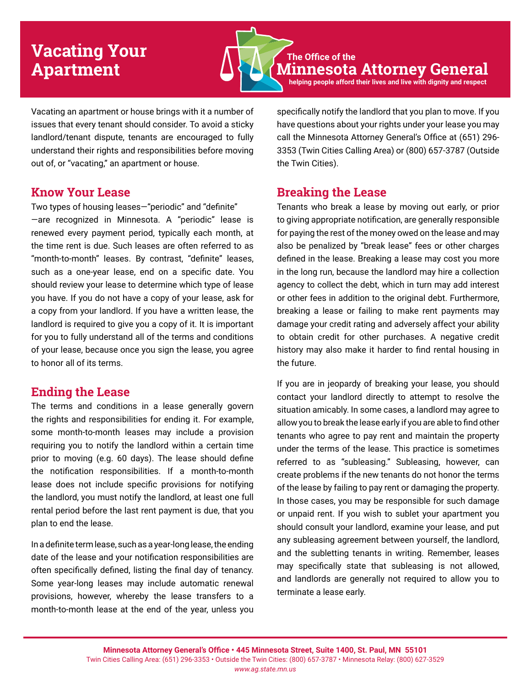# **Vacating Your Apartment**

**The Office of the Minnesota Attorney General helping people afford their lives and live with dignity and respect**

Vacating an apartment or house brings with it a number of issues that every tenant should consider. To avoid a sticky landlord/tenant dispute, tenants are encouraged to fully understand their rights and responsibilities before moving out of, or "vacating," an apartment or house.

# **Know Your Lease**

Two types of housing leases—"periodic" and "definite" —are recognized in Minnesota. A "periodic" lease is renewed every payment period, typically each month, at the time rent is due. Such leases are often referred to as "month-to-month" leases. By contrast, "definite" leases, such as a one-year lease, end on a specific date. You should review your lease to determine which type of lease you have. If you do not have a copy of your lease, ask for a copy from your landlord. If you have a written lease, the landlord is required to give you a copy of it. It is important for you to fully understand all of the terms and conditions of your lease, because once you sign the lease, you agree to honor all of its terms.

# **Ending the Lease**

The terms and conditions in a lease generally govern the rights and responsibilities for ending it. For example, some month-to-month leases may include a provision requiring you to notify the landlord within a certain time prior to moving (e.g. 60 days). The lease should define the notification responsibilities. If a month-to-month lease does not include specific provisions for notifying the landlord, you must notify the landlord, at least one full rental period before the last rent payment is due, that you plan to end the lease.

In a definite term lease, such as a year-long lease, the ending date of the lease and your notification responsibilities are often specifically defined, listing the final day of tenancy. Some year-long leases may include automatic renewal provisions, however, whereby the lease transfers to a month-to-month lease at the end of the year, unless you

specifically notify the landlord that you plan to move. If you have questions about your rights under your lease you may call the Minnesota Attorney General's Office at (651) 296- 3353 (Twin Cities Calling Area) or (800) 657-3787 (Outside the Twin Cities).

# **Breaking the Lease**

Tenants who break a lease by moving out early, or prior to giving appropriate notification, are generally responsible for paying the rest of the money owed on the lease and may also be penalized by "break lease" fees or other charges defined in the lease. Breaking a lease may cost you more in the long run, because the landlord may hire a collection agency to collect the debt, which in turn may add interest or other fees in addition to the original debt. Furthermore, breaking a lease or failing to make rent payments may damage your credit rating and adversely affect your ability to obtain credit for other purchases. A negative credit history may also make it harder to find rental housing in the future.

If you are in jeopardy of breaking your lease, you should contact your landlord directly to attempt to resolve the situation amicably. In some cases, a landlord may agree to allow you to break the lease early if you are able to find other tenants who agree to pay rent and maintain the property under the terms of the lease. This practice is sometimes referred to as "subleasing." Subleasing, however, can create problems if the new tenants do not honor the terms of the lease by failing to pay rent or damaging the property. In those cases, you may be responsible for such damage or unpaid rent. If you wish to sublet your apartment you should consult your landlord, examine your lease, and put any subleasing agreement between yourself, the landlord, and the subletting tenants in writing. Remember, leases may specifically state that subleasing is not allowed, and landlords are generally not required to allow you to terminate a lease early.